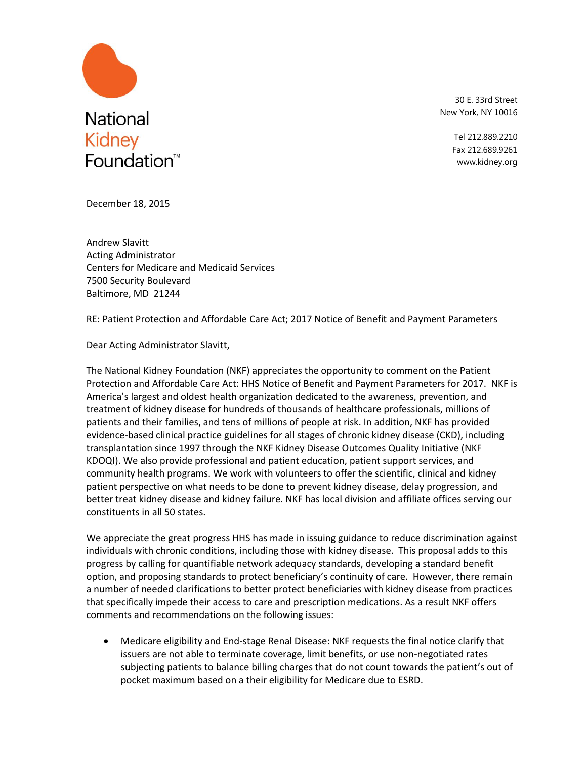

30 E. 33rd Street New York, NY 10016

> Tel 212.889.2210 Fax 212.689.9261 www.kidney.org

December 18, 2015

Andrew Slavitt Acting Administrator Centers for Medicare and Medicaid Services 7500 Security Boulevard Baltimore, MD 21244

RE: Patient Protection and Affordable Care Act; 2017 Notice of Benefit and Payment Parameters

Dear Acting Administrator Slavitt,

The National Kidney Foundation (NKF) appreciates the opportunity to comment on the Patient Protection and Affordable Care Act: HHS Notice of Benefit and Payment Parameters for 2017. NKF is America's largest and oldest health organization dedicated to the awareness, prevention, and treatment of kidney disease for hundreds of thousands of healthcare professionals, millions of patients and their families, and tens of millions of people at risk. In addition, NKF has provided evidence-based clinical practice guidelines for all stages of chronic kidney disease (CKD), including transplantation since 1997 through the NKF Kidney Disease Outcomes Quality Initiative (NKF KDOQI). We also provide professional and patient education, patient support services, and community health programs. We work with volunteers to offer the scientific, clinical and kidney patient perspective on what needs to be done to prevent kidney disease, delay progression, and better treat kidney disease and kidney failure. NKF has local division and affiliate offices serving our constituents in all 50 states.

We appreciate the great progress HHS has made in issuing guidance to reduce discrimination against individuals with chronic conditions, including those with kidney disease. This proposal adds to this progress by calling for quantifiable network adequacy standards, developing a standard benefit option, and proposing standards to protect beneficiary's continuity of care. However, there remain a number of needed clarifications to better protect beneficiaries with kidney disease from practices that specifically impede their access to care and prescription medications. As a result NKF offers comments and recommendations on the following issues:

 Medicare eligibility and End-stage Renal Disease: NKF requests the final notice clarify that issuers are not able to terminate coverage, limit benefits, or use non-negotiated rates subjecting patients to balance billing charges that do not count towards the patient's out of pocket maximum based on a their eligibility for Medicare due to ESRD.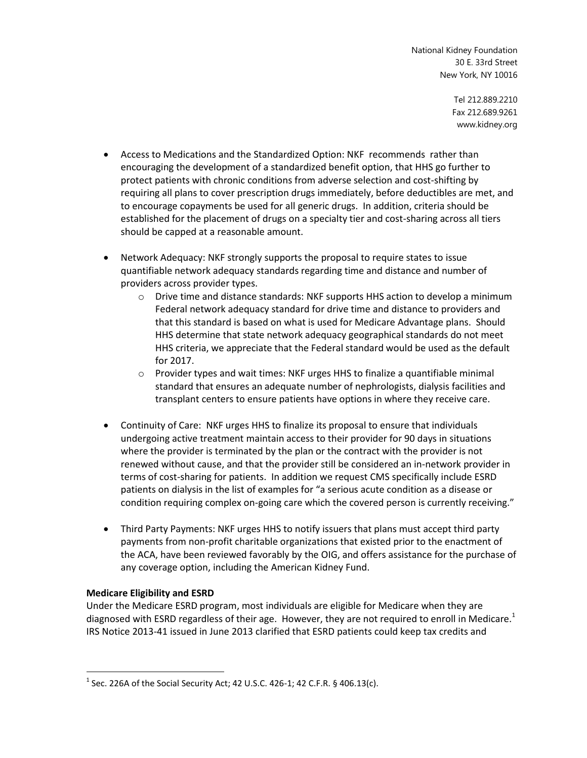> Tel 212.889.2210 Fax 212.689.9261 www.kidney.org

- Access to Medications and the Standardized Option: NKF recommends rather than encouraging the development of a standardized benefit option, that HHS go further to protect patients with chronic conditions from adverse selection and cost-shifting by requiring all plans to cover prescription drugs immediately, before deductibles are met, and to encourage copayments be used for all generic drugs. In addition, criteria should be established for the placement of drugs on a specialty tier and cost-sharing across all tiers should be capped at a reasonable amount.
- Network Adequacy: NKF strongly supports the proposal to require states to issue quantifiable network adequacy standards regarding time and distance and number of providers across provider types.
	- $\circ$  Drive time and distance standards: NKF supports HHS action to develop a minimum Federal network adequacy standard for drive time and distance to providers and that this standard is based on what is used for Medicare Advantage plans. Should HHS determine that state network adequacy geographical standards do not meet HHS criteria, we appreciate that the Federal standard would be used as the default for 2017.
	- o Provider types and wait times: NKF urges HHS to finalize a quantifiable minimal standard that ensures an adequate number of nephrologists, dialysis facilities and transplant centers to ensure patients have options in where they receive care.
- Continuity of Care: NKF urges HHS to finalize its proposal to ensure that individuals undergoing active treatment maintain access to their provider for 90 days in situations where the provider is terminated by the plan or the contract with the provider is not renewed without cause, and that the provider still be considered an in-network provider in terms of cost-sharing for patients. In addition we request CMS specifically include ESRD patients on dialysis in the list of examples for "a serious acute condition as a disease or condition requiring complex on-going care which the covered person is currently receiving."
- Third Party Payments: NKF urges HHS to notify issuers that plans must accept third party payments from non-profit charitable organizations that existed prior to the enactment of the ACA, have been reviewed favorably by the OIG, and offers assistance for the purchase of any coverage option, including the American Kidney Fund.

## **Medicare Eligibility and ESRD**

 $\overline{a}$ 

Under the Medicare ESRD program, most individuals are eligible for Medicare when they are diagnosed with ESRD regardless of their age. However, they are not required to enroll in Medicare.<sup>1</sup> IRS Notice 2013-41 issued in June 2013 clarified that ESRD patients could keep tax credits and

<sup>&</sup>lt;sup>1</sup> Sec. 226A of the Social Security Act; 42 U.S.C. 426-1; 42 C.F.R. § 406.13(c).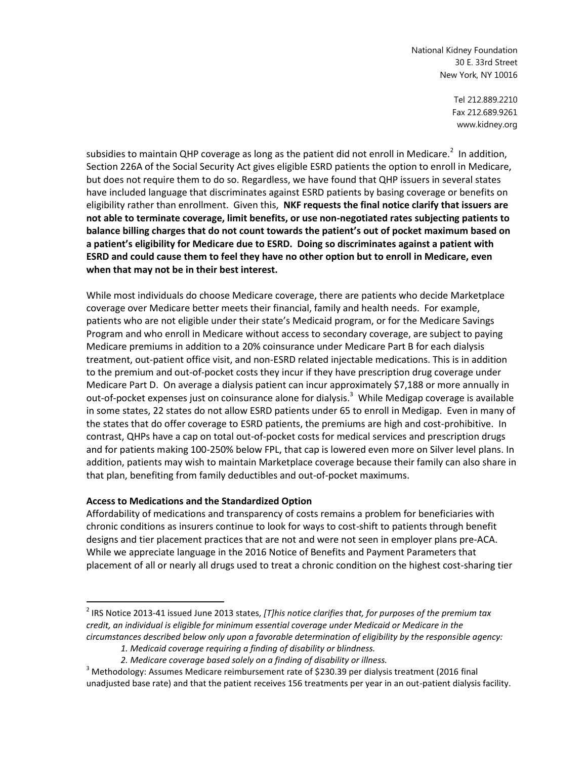> Tel 212.889.2210 Fax 212.689.9261 www.kidney.org

subsidies to maintain QHP coverage as long as the patient did not enroll in Medicare.<sup>2</sup> In addition, Section 226A of the Social Security Act gives eligible ESRD patients the option to enroll in Medicare, but does not require them to do so. Regardless, we have found that QHP issuers in several states have included language that discriminates against ESRD patients by basing coverage or benefits on eligibility rather than enrollment. Given this, **NKF requests the final notice clarify that issuers are not able to terminate coverage, limit benefits, or use non-negotiated rates subjecting patients to balance billing charges that do not count towards the patient's out of pocket maximum based on a patient's eligibility for Medicare due to ESRD. Doing so discriminates against a patient with ESRD and could cause them to feel they have no other option but to enroll in Medicare, even when that may not be in their best interest.**

While most individuals do choose Medicare coverage, there are patients who decide Marketplace coverage over Medicare better meets their financial, family and health needs. For example, patients who are not eligible under their state's Medicaid program, or for the Medicare Savings Program and who enroll in Medicare without access to secondary coverage, are subject to paying Medicare premiums in addition to a 20% coinsurance under Medicare Part B for each dialysis treatment, out-patient office visit, and non-ESRD related injectable medications. This is in addition to the premium and out-of-pocket costs they incur if they have prescription drug coverage under Medicare Part D. On average a dialysis patient can incur approximately \$7,188 or more annually in out-of-pocket expenses just on coinsurance alone for dialysis.<sup>3</sup> While Medigap coverage is available in some states, 22 states do not allow ESRD patients under 65 to enroll in Medigap. Even in many of the states that do offer coverage to ESRD patients, the premiums are high and cost-prohibitive. In contrast, QHPs have a cap on total out-of-pocket costs for medical services and prescription drugs and for patients making 100-250% below FPL, that cap is lowered even more on Silver level plans. In addition, patients may wish to maintain Marketplace coverage because their family can also share in that plan, benefiting from family deductibles and out-of-pocket maximums.

## **Access to Medications and the Standardized Option**

 $\overline{a}$ 

Affordability of medications and transparency of costs remains a problem for beneficiaries with chronic conditions as insurers continue to look for ways to cost-shift to patients through benefit designs and tier placement practices that are not and were not seen in employer plans pre-ACA. While we appreciate language in the 2016 Notice of Benefits and Payment Parameters that placement of all or nearly all drugs used to treat a chronic condition on the highest cost-sharing tier

<sup>2</sup> IRS Notice 2013-41 issued June 2013 states, *[T]his notice clarifies that, for purposes of the premium tax credit, an individual is eligible for minimum essential coverage under Medicaid or Medicare in the circumstances described below only upon a favorable determination of eligibility by the responsible agency:*

*<sup>1.</sup> Medicaid coverage requiring a finding of disability or blindness.*

*<sup>2.</sup> Medicare coverage based solely on a finding of disability or illness.*

<sup>&</sup>lt;sup>3</sup> Methodology: Assumes Medicare reimbursement rate of \$230.39 per dialysis treatment (2016 final unadjusted base rate) and that the patient receives 156 treatments per year in an out-patient dialysis facility.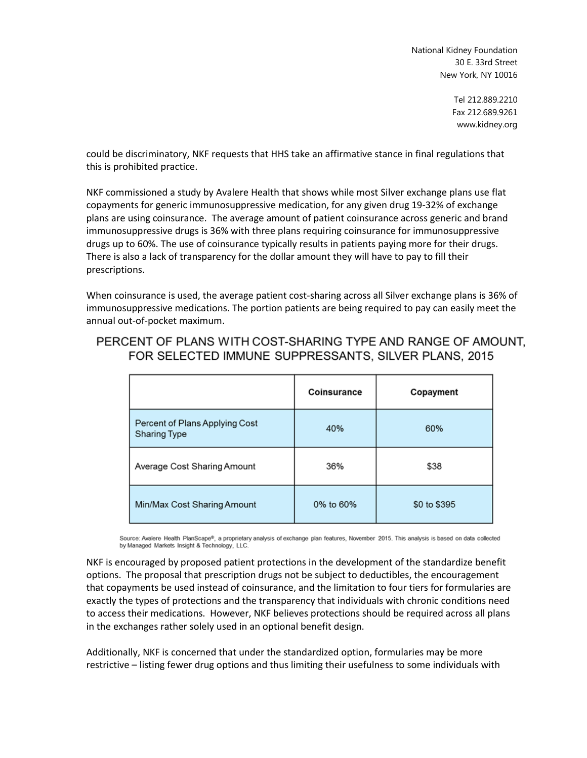> Tel 212.889.2210 Fax 212.689.9261 www.kidney.org

could be discriminatory, NKF requests that HHS take an affirmative stance in final regulations that this is prohibited practice.

NKF commissioned a study by Avalere Health that shows while most Silver exchange plans use flat copayments for generic immunosuppressive medication, for any given drug 19-32% of exchange plans are using coinsurance. The average amount of patient coinsurance across generic and brand immunosuppressive drugs is 36% with three plans requiring coinsurance for immunosuppressive drugs up to 60%. The use of coinsurance typically results in patients paying more for their drugs. There is also a lack of transparency for the dollar amount they will have to pay to fill their prescriptions.

When coinsurance is used, the average patient cost-sharing across all Silver exchange plans is 36% of immunosuppressive medications. The portion patients are being required to pay can easily meet the annual out-of-pocket maximum.

# PERCENT OF PLANS WITH COST-SHARING TYPE AND RANGE OF AMOUNT. FOR SELECTED IMMUNE SUPPRESSANTS, SILVER PLANS, 2015

|                                                       | Coinsurance | Copayment    |
|-------------------------------------------------------|-------------|--------------|
| Percent of Plans Applying Cost<br><b>Sharing Type</b> | 40%         | 60%          |
| Average Cost Sharing Amount                           | 36%         | \$38         |
| Min/Max Cost Sharing Amount                           | 0% to 60%   | \$0 to \$395 |

Source: Avalere Health PlanScape®, a proprietary analysis of exchange plan features, November 2015. This analysis is based on data collected by Managed Markets Insight & Technology, LLC.

NKF is encouraged by proposed patient protections in the development of the standardize benefit options. The proposal that prescription drugs not be subject to deductibles, the encouragement that copayments be used instead of coinsurance, and the limitation to four tiers for formularies are exactly the types of protections and the transparency that individuals with chronic conditions need to access their medications. However, NKF believes protections should be required across all plans in the exchanges rather solely used in an optional benefit design.

Additionally, NKF is concerned that under the standardized option, formularies may be more restrictive – listing fewer drug options and thus limiting their usefulness to some individuals with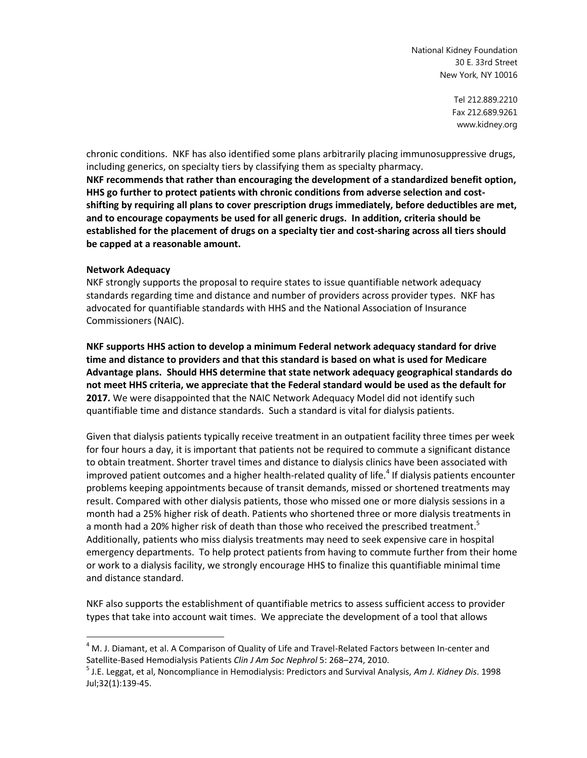> Tel 212.889.2210 Fax 212.689.9261 www.kidney.org

chronic conditions. NKF has also identified some plans arbitrarily placing immunosuppressive drugs, including generics, on specialty tiers by classifying them as specialty pharmacy.

**NKF recommends that rather than encouraging the development of a standardized benefit option, HHS go further to protect patients with chronic conditions from adverse selection and costshifting by requiring all plans to cover prescription drugs immediately, before deductibles are met, and to encourage copayments be used for all generic drugs. In addition, criteria should be established for the placement of drugs on a specialty tier and cost-sharing across all tiers should be capped at a reasonable amount.**

#### **Network Adequacy**

 $\overline{a}$ 

NKF strongly supports the proposal to require states to issue quantifiable network adequacy standards regarding time and distance and number of providers across provider types. NKF has advocated for quantifiable standards with HHS and the National Association of Insurance Commissioners (NAIC).

**NKF supports HHS action to develop a minimum Federal network adequacy standard for drive time and distance to providers and that this standard is based on what is used for Medicare Advantage plans. Should HHS determine that state network adequacy geographical standards do not meet HHS criteria, we appreciate that the Federal standard would be used as the default for 2017.** We were disappointed that the NAIC Network Adequacy Model did not identify such quantifiable time and distance standards. Such a standard is vital for dialysis patients.

Given that dialysis patients typically receive treatment in an outpatient facility three times per week for four hours a day, it is important that patients not be required to commute a significant distance to obtain treatment. Shorter travel times and distance to dialysis clinics have been associated with improved patient outcomes and a higher health-related quality of life.<sup>4</sup> If dialysis patients encounter problems keeping appointments because of transit demands, missed or shortened treatments may result. Compared with other dialysis patients, those who missed one or more dialysis sessions in a month had a 25% higher risk of death. Patients who shortened three or more dialysis treatments in a month had a 20% higher risk of death than those who received the prescribed treatment.<sup>5</sup> Additionally, patients who miss dialysis treatments may need to seek expensive care in hospital emergency departments. To help protect patients from having to commute further from their home or work to a dialysis facility, we strongly encourage HHS to finalize this quantifiable minimal time and distance standard.

NKF also supports the establishment of quantifiable metrics to assess sufficient access to provider types that take into account wait times. We appreciate the development of a tool that allows

 $4$  M. J. Diamant, et al. A Comparison of Quality of Life and Travel-Related Factors between In-center and Satellite-Based Hemodialysis Patients *Clin J Am Soc Nephrol* 5: 268–274, 2010.

<sup>5</sup> J.E. Leggat, et al, Noncompliance in Hemodialysis: Predictors and Survival Analysis, *Am J. Kidney Dis*. 1998 Jul;32(1):139-45.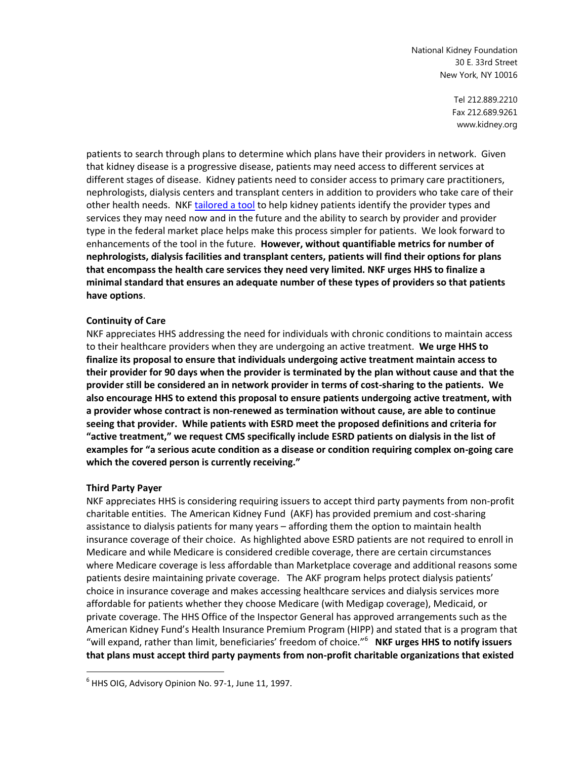> Tel 212.889.2210 Fax 212.689.9261 www.kidney.org

patients to search through plans to determine which plans have their providers in network. Given that kidney disease is a progressive disease, patients may need access to different services at different stages of disease. Kidney patients need to consider access to primary care practitioners, nephrologists, dialysis centers and transplant centers in addition to providers who take care of their other health needs. NKF [tailored a tool](https://nkfadvocacy.files.wordpress.com/2014/11/01-10-6859_kbe_kidneyinsurancechecklist_v3.pdf) to help kidney patients identify the provider types and services they may need now and in the future and the ability to search by provider and provider type in the federal market place helps make this process simpler for patients. We look forward to enhancements of the tool in the future. **However, without quantifiable metrics for number of nephrologists, dialysis facilities and transplant centers, patients will find their options for plans that encompass the health care services they need very limited. NKF urges HHS to finalize a minimal standard that ensures an adequate number of these types of providers so that patients have options**.

## **Continuity of Care**

NKF appreciates HHS addressing the need for individuals with chronic conditions to maintain access to their healthcare providers when they are undergoing an active treatment. **We urge HHS to finalize its proposal to ensure that individuals undergoing active treatment maintain access to their provider for 90 days when the provider is terminated by the plan without cause and that the provider still be considered an in network provider in terms of cost-sharing to the patients. We also encourage HHS to extend this proposal to ensure patients undergoing active treatment, with a provider whose contract is non-renewed as termination without cause, are able to continue seeing that provider. While patients with ESRD meet the proposed definitions and criteria for "active treatment," we request CMS specifically include ESRD patients on dialysis in the list of examples for "a serious acute condition as a disease or condition requiring complex on-going care which the covered person is currently receiving."** 

#### **Third Party Payer**

 $\overline{a}$ 

NKF appreciates HHS is considering requiring issuers to accept third party payments from non-profit charitable entities. The American Kidney Fund (AKF) has provided premium and cost-sharing assistance to dialysis patients for many years – affording them the option to maintain health insurance coverage of their choice. As highlighted above ESRD patients are not required to enroll in Medicare and while Medicare is considered credible coverage, there are certain circumstances where Medicare coverage is less affordable than Marketplace coverage and additional reasons some patients desire maintaining private coverage. The AKF program helps protect dialysis patients' choice in insurance coverage and makes accessing healthcare services and dialysis services more affordable for patients whether they choose Medicare (with Medigap coverage), Medicaid, or private coverage. The HHS Office of the Inspector General has approved arrangements such as the American Kidney Fund's Health Insurance Premium Program (HIPP) and stated that is a program that "will expand, rather than limit, beneficiaries' freedom of choice."<sup>6</sup> **NKF urges HHS to notify issuers that plans must accept third party payments from non-profit charitable organizations that existed** 

 $^6$  HHS OIG, Advisory Opinion No. 97-1, June 11, 1997.